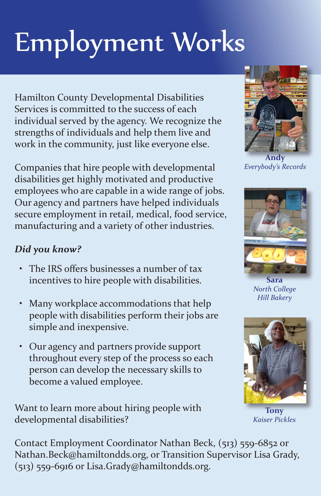# Employment Works

Hamilton County Developmental Disabilities Services is committed to the success of each individual served by the agency. We recognize the strengths of individuals and help them live and work in the community, just like everyone else.

Companies that hire people with developmental disabilities get highly motivated and productive employees who are capable in a wide range of jobs. Our agency and partners have helped individuals secure employment in retail, medical, food service, manufacturing and a variety of other industries.

#### *Did you know?*

- The IRS offers businesses a number of tax incentives to hire people with disabilities.
- Many workplace accommodations that help people with disabilities perform their jobs are simple and inexpensive.
- Our agency and partners provide support throughout every step of the process so each person can develop the necessary skills to become a valued employee.

Want to learn more about hiring people with developmental disabilities?



**Andy** *Everybody's Records*



**Sara** *North College Hill Bakery*



**Tony** *Kaiser Pickles*

Contact Employment Coordinator Nathan Beck, (513) 559-6852 or Nathan.Beck@hamiltondds.org, or Transition Supervisor Lisa Grady, (513) 559-6916 or Lisa.Grady@hamiltondds.org.